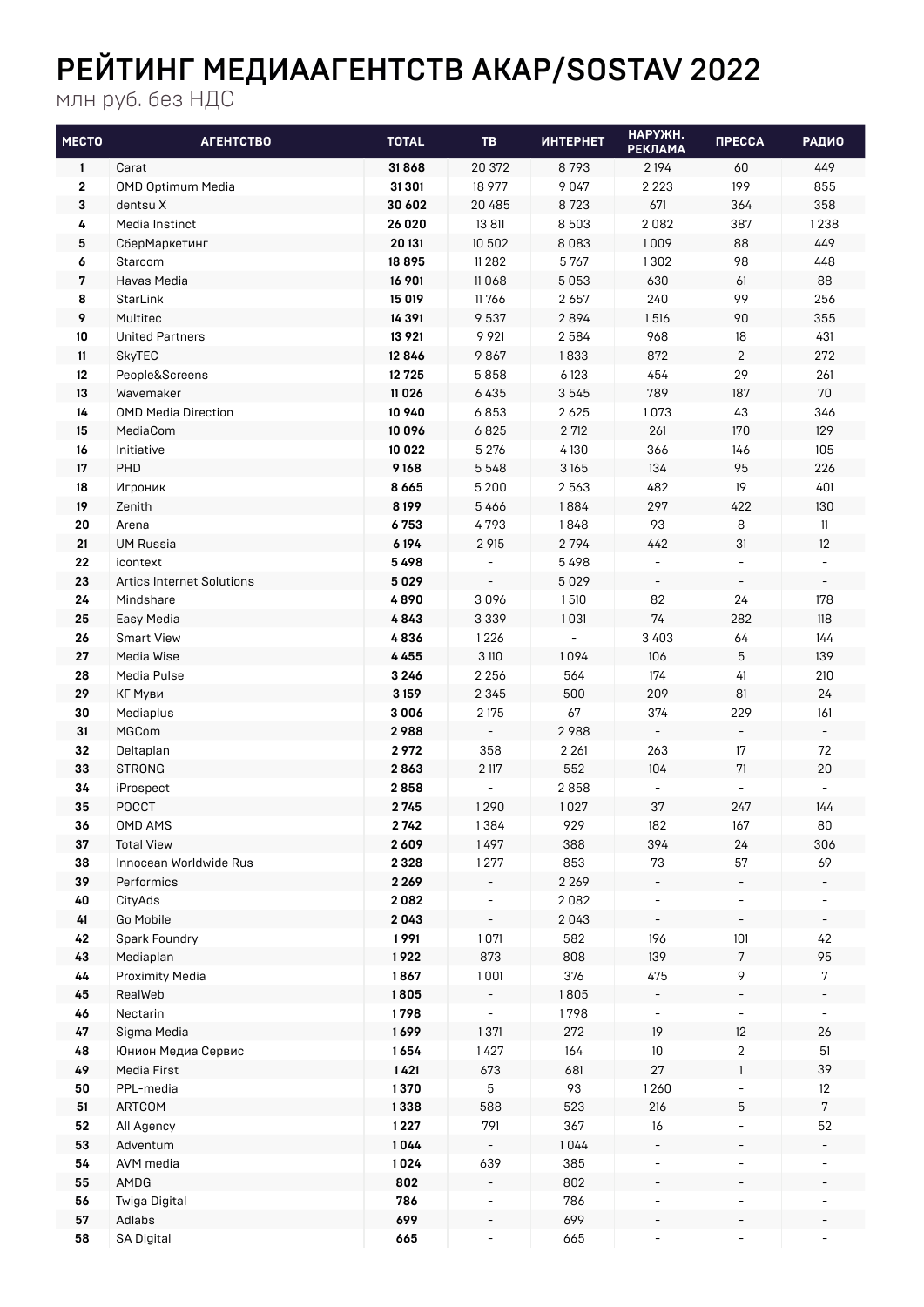## РЕЙТИНГ МЕДИААГЕНТСТВ АКАР/SOSTAV 2022

млн руб. без НДС

| <b>MECTO</b> | <b>ATEHTCTBO</b>                              | <b>TOTAL</b> | TB                       | <b>ИНТЕРНЕТ</b> | НАРУЖН.<br><b>РЕКЛАМА</b>      | <b><i><u>ITPECCA</u></i></b>   | <b>РАДИО</b>                   |
|--------------|-----------------------------------------------|--------------|--------------------------|-----------------|--------------------------------|--------------------------------|--------------------------------|
| $\mathbf{1}$ | Carat                                         | 31868        | 20 372                   | 8793            | 2 1 9 4                        | 60                             | 449                            |
| $\mathbf 2$  | <b>OMD Optimum Media</b>                      | 31 301       | 18 977                   | 9047            | 2 2 2 3                        | 199                            | 855                            |
| 3            | dentsu X                                      | 30 602       | 20 485                   | 8723            | 671                            | 364                            | 358                            |
| 4            | Media Instinct                                | 26 0 20      | 13 811                   | 8 5 0 3         | 2082                           | 387                            | 1238                           |
| 5            | СберМаркетинг                                 | 20 131       | 10 502                   | 8083            | 1009                           | 88                             | 449                            |
| 6            | Starcom                                       | 18895        | 11 2 8 2                 | 5767            | 1302                           | 98                             | 448                            |
| 7            | Havas Media                                   | 16 901       | 11068                    | 5053            | 630                            | 61                             | 88                             |
| 8            | StarLink                                      | 15 019       | 11766                    | 2 6 5 7         | 240                            | 99                             | 256                            |
| 9            | Multitec                                      | 14 3 9 1     | 9 5 3 7                  | 2894            | 1516                           | 90                             | 355                            |
| 10           | <b>United Partners</b>                        | 13 9 21      | 9 9 21                   | 2584            | 968                            | 18                             | 431                            |
| 11           | <b>SkyTEC</b>                                 | 12846        | 9867                     | 1833            | 872                            | $\overline{2}$                 | 272                            |
| 12           | People&Screens                                | 12725        | 5858                     | 6123            | 454                            | 29                             | 261                            |
| 13           | Wavemaker                                     | 11 0 26      | 6435                     | 3545            | 789                            | 187                            | 70                             |
| 14           | <b>OMD Media Direction</b>                    | 10 940       | 6853                     | 2 6 2 5         | 1073                           | 43                             | 346                            |
| 15           | MediaCom                                      | 10 0 9 6     | 6825                     | 2 712           | 261                            | 170                            | 129                            |
| 16           | Initiative                                    | 10 022       | 5 2 7 6                  | 4130            | 366                            | 146                            | 105                            |
| 17           | PHD                                           | 9168         | 5548                     | 3165            | 134                            | 95                             | 226                            |
| 18           | Игроник                                       | 8665         | 5 2 0 0                  | 2 5 6 3         | 482                            | 19                             | 401                            |
| 19           | Zenith                                        | 8 1 9 9      | 5466                     | 1884            | 297                            | 422                            | 130                            |
| 20           | Arena                                         | 6753         | 4793                     | 1848            | 93                             | 8                              | 11                             |
| 21           | <b>UM Russia</b>                              | 6194<br>5498 | 2 915                    | 2794<br>5498    | 442                            | 31<br>$\overline{\phantom{a}}$ | 12<br>$\overline{\phantom{a}}$ |
| 22           | icontext                                      | 5029         |                          | 5 0 2 9         |                                |                                |                                |
| 23<br>24     | <b>Artics Internet Solutions</b><br>Mindshare | 4890         | 3096                     | 1510            | $\overline{\phantom{a}}$<br>82 | 24                             | 178                            |
| 25           | Easy Media                                    | 4843         | 3 3 3 9                  | 1031            | 74                             | 282                            | 118                            |
| 26           | <b>Smart View</b>                             | 4836         | 1226                     |                 | 3403                           | 64                             | 144                            |
| 27           | Media Wise                                    | 4455         | 3 110                    | 1094            | 106                            | 5                              | 139                            |
| 28           | Media Pulse                                   | 3 2 4 6      | 2 2 5 6                  | 564             | 174                            | 41                             | 210                            |
| 29           | КГ Муви                                       | 3159         | 2 3 4 5                  | 500             | 209                            | 81                             | 24                             |
| 30           | Mediaplus                                     | 3006         | 2 175                    | 67              | 374                            | 229                            | 161                            |
| 31           | MGCom                                         | 2988         |                          | 2988            |                                |                                |                                |
| 32           | Deltaplan                                     | 2972         | 358                      | 2 2 6 1         | 263                            | 17                             | 72                             |
| 33           | <b>STRONG</b>                                 | 2863         | 2 117                    | 552             | 104                            | 71                             | 20                             |
| 34           | iProspect                                     | 2858         | $\overline{a}$           | 2858            | $\overline{\phantom{a}}$       |                                |                                |
| 35           | <b>POCCT</b>                                  | 2745         | 1290                     | 1027            | 37                             | 247                            | 144                            |
| 36           | OMD AMS                                       | 2742         | 1384                     | 929             | 182                            | 167                            | 80                             |
| 37           | <b>Total View</b>                             | 2609         | 1497                     | 388             | 394                            | 24                             | 306                            |
| 38           | Innocean Worldwide Rus                        | 2 3 2 8      | 1277                     | 853             | 73                             | 57                             | 69                             |
| 39           | Performics                                    | 2 2 6 9      |                          | 2 2 6 9         |                                |                                |                                |
| 40           | CityAds                                       | 2082         |                          | 2082            |                                |                                |                                |
| 41           | Go Mobile                                     | 2043         |                          | 2043            |                                |                                |                                |
| 42           | Spark Foundry                                 | 1991         | 1071                     | 582             | 196                            | 101                            | 42                             |
| 43           | Mediaplan                                     | 1922         | 873                      | 808             | 139                            | 7                              | 95                             |
| 44           | <b>Proximity Media</b>                        | 1867         | 1001                     | 376             | 475                            | 9                              | $7\phantom{.0}$                |
| 45           | RealWeb                                       | 1805         |                          | 1805            |                                |                                |                                |
| 46           | Nectarin                                      | 1798         |                          | 1798            |                                |                                |                                |
| 47           | Sigma Media                                   | 1699         | 1371                     | 272             | 19                             | 12                             | 26                             |
| 48           | Юнион Медиа Сервис                            | 1654         | 1427                     | 164             | 10                             | 2                              | 51                             |
| 49           | Media First                                   | 1421         | 673                      | 681             | 27                             | $\mathbf{1}$                   | 39                             |
| 50           | PPL-media                                     | 1370         | 5                        | 93              | 1260                           |                                | 12                             |
| 51           | ARTCOM                                        | 1338         | 588                      | 523             | 216                            | 5                              | $7\phantom{.0}$                |
| 52           | All Agency                                    | 1227         | 791                      | 367             | 16                             |                                | 52                             |
| 53           | Adventum                                      | 1044         |                          | 1044            |                                |                                |                                |
| 54           | AVM media                                     | 1024         | 639                      | 385             |                                |                                |                                |
| 55<br>56     | AMDG<br>Twiga Digital                         | 802<br>786   |                          | 802<br>786      | $\overline{\phantom{a}}$       |                                |                                |
| 57           | Adlabs                                        | 699          |                          | 699             |                                |                                |                                |
| 58           | SA Digital                                    | 665          | $\overline{\phantom{a}}$ | 665             | -                              |                                |                                |
|              |                                               |              |                          |                 |                                |                                |                                |